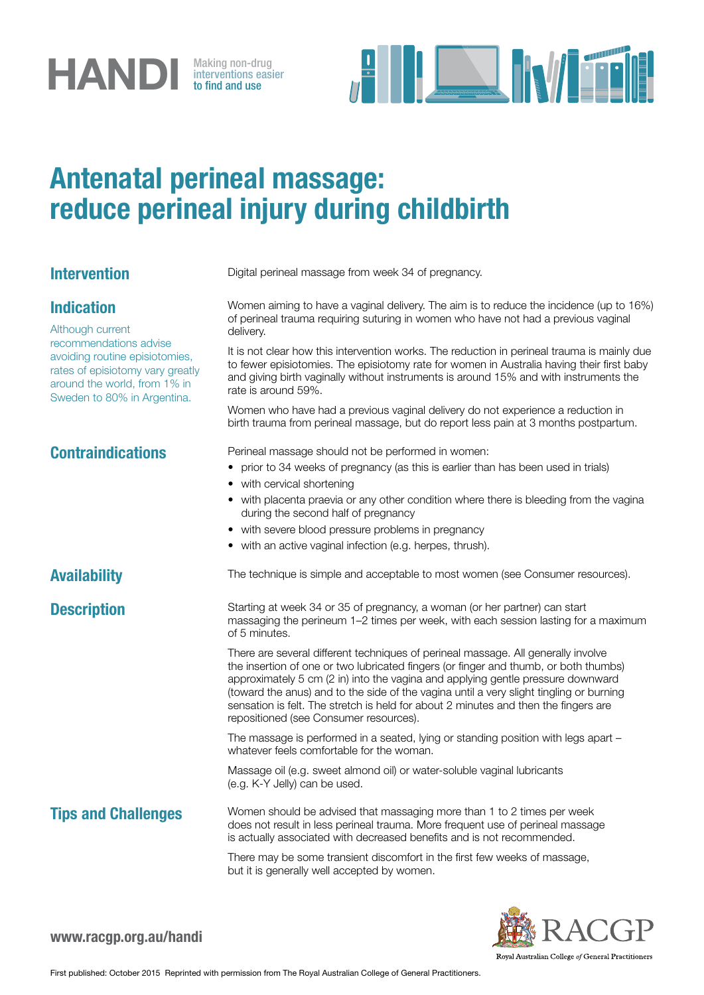# **HANDI** Making non-drug<br>to find and use

interventions easier to find and use



## Antenatal perineal massage: reduce perineal injury during childbirth

## Indication

Although current recommendations advise avoiding routine episiotomies, rates of episiotomy vary greatly around the world, from 1% in Sweden to 80% in Argentina.

**Intervention** Digital perineal massage from week 34 of pregnancy.

Women aiming to have a vaginal delivery. The aim is to reduce the incidence (up to 16%) of perineal trauma requiring suturing in women who have not had a previous vaginal delivery.

It is not clear how this intervention works. The reduction in perineal trauma is mainly due to fewer episiotomies. The episiotomy rate for women in Australia having their first baby and giving birth vaginally without instruments is around 15% and with instruments the rate is around 59%.

Women who have had a previous vaginal delivery do not experience a reduction in birth trauma from perineal massage, but do report less pain at 3 months postpartum.

Contraindications **Perineal massage should not be performed in women:** 

- prior to 34 weeks of pregnancy (as this is earlier than has been used in trials)
- with cervical shortening
- with placenta praevia or any other condition where there is bleeding from the vagina during the second half of pregnancy
- with severe blood pressure problems in pregnancy
- with an active vaginal infection (e.g. herpes, thrush).

### Availability The technique is simple and acceptable to most women (see Consumer resources).

**Description** Starting at week 34 or 35 of pregnancy, a woman (or her partner) can start massaging the perineum 1–2 times per week, with each session lasting for a maximum of 5 minutes.

> There are several different techniques of perineal massage. All generally involve the insertion of one or two lubricated fingers (or finger and thumb, or both thumbs) approximately 5 cm (2 in) into the vagina and applying gentle pressure downward (toward the anus) and to the side of the vagina until a very slight tingling or burning sensation is felt. The stretch is held for about 2 minutes and then the fingers are repositioned (see Consumer resources).

> The massage is performed in a seated, lying or standing position with legs apart – whatever feels comfortable for the woman.

Massage oil (e.g. sweet almond oil) or water-soluble vaginal lubricants (e.g. K-Y Jelly) can be used.

**Tips and Challenges** Women should be advised that massaging more than 1 to 2 times per week does not result in less perineal trauma. More frequent use of perineal massage is actually associated with decreased benefits and is not recommended.

> There may be some transient discomfort in the first few weeks of massage, but it is generally well accepted by women.



Royal Australian College of General Practitioners

www.racgp.org.au/handi